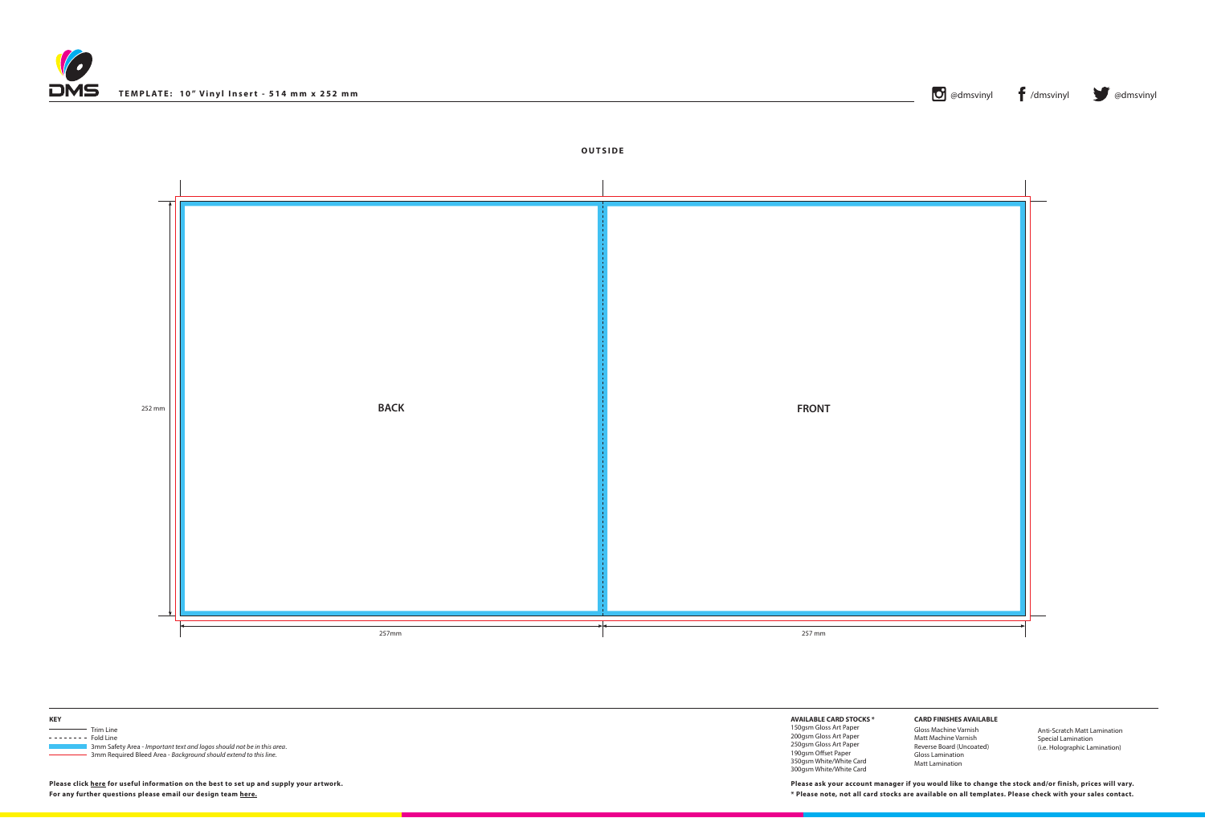## **OUTSIDE**



**Please click [here](http://www.discmanufacturingservices.com/vinyl-templates.htm#artwork-specifications) for useful information on the best to set up and supply your artwork.**

| TEMPLATE: 10" Vinyl Insert - 514 mm x 252 mm | $\mathbf{U}$ @dmsvinyl | dmsvinyl | @dmsvinyl |
|----------------------------------------------|------------------------|----------|-----------|
|                                              |                        |          |           |





**AVAILABLE CARD STOCKS \***

150gsm Gloss Art Paper 200gsm Gloss Art Paper 250gsm Gloss Art Paper 190gsm Offset Paper 350gsm White/White Card 300gsm White/White Card

**For any further questions please email our design team [here](mailto:graphics%40discmanufacturingservices.com?subject=Template%20Enquiry). \* Please note, not all card stocks are available on all templates. Please check with your sales contact. Please ask your account manager if you would like to change the stock and/or finish, prices will vary.**





## **CARD FINISHES AVAILABLE**

Gloss Machine Varnish Matt Machine Varnish Reverse Board (Uncoated) Gloss Lamination Matt Lamination

Anti-Scratch Matt Lamination Special Lamination (i.e. Holographic Lamination)